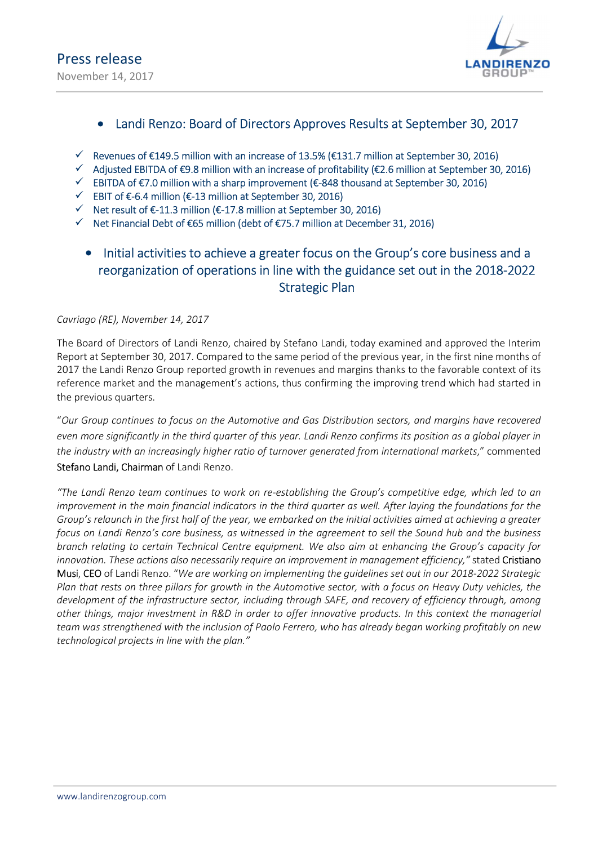

### Landi Renzo: Board of Directors Approves Results at September 30, 2017

- $\checkmark$  Revenues of €149.5 million with an increase of 13.5% (€131.7 million at September 30, 2016)
- $\checkmark$  Adjusted EBITDA of €9.8 million with an increase of profitability (€2.6 million at September 30, 2016)
- $\checkmark$  EBITDA of €7.0 million with a sharp improvement (€-848 thousand at September 30, 2016)
- EBIT of €-6.4 million (€-13 million at September 30, 2016)
- $\checkmark$  Net result of  $\text{\textsterling}-11.3$  million ( $\text{\textsterling}-17.8$  million at September 30, 2016)
- Net Financial Debt of €65 million (debt of €75.7 million at December 31, 2016)

### • Initial activities to achieve a greater focus on the Group's core business and a reorganization of operations in line with the guidance set out in the 2018-2022 Strategic Plan

### Cavriago (RE), November 14, 2017

The Board of Directors of Landi Renzo, chaired by Stefano Landi, today examined and approved the Interim Report at September 30, 2017. Compared to the same period of the previous year, in the first nine months of 2017 the Landi Renzo Group reported growth in revenues and margins thanks to the favorable context of its reference market and the management's actions, thus confirming the improving trend which had started in the previous quarters.

"Our Group continues to focus on the Automotive and Gas Distribution sectors, and margins have recovered even more significantly in the third quarter of this year. Landi Renzo confirms its position as a global player in the industry with an increasingly higher ratio of turnover generated from international markets," commented Stefano Landi, Chairman of Landi Renzo.

"The Landi Renzo team continues to work on re-establishing the Group's competitive edge, which led to an improvement in the main financial indicators in the third quarter as well. After laying the foundations for the Group's relaunch in the first half of the year, we embarked on the initial activities aimed at achieving a greater focus on Landi Renzo's core business, as witnessed in the agreement to sell the Sound hub and the business branch relating to certain Technical Centre equipment. We also aim at enhancing the Group's capacity for innovation. These actions also necessarily require an improvement in management efficiency," stated Cristiano Musi, CEO of Landi Renzo. "We are working on implementing the guidelines set out in our 2018-2022 Strategic Plan that rests on three pillars for growth in the Automotive sector, with a focus on Heavy Duty vehicles, the development of the infrastructure sector, including through SAFE, and recovery of efficiency through, among other things, major investment in R&D in order to offer innovative products. In this context the managerial team was strengthened with the inclusion of Paolo Ferrero, who has already began working profitably on new technological projects in line with the plan."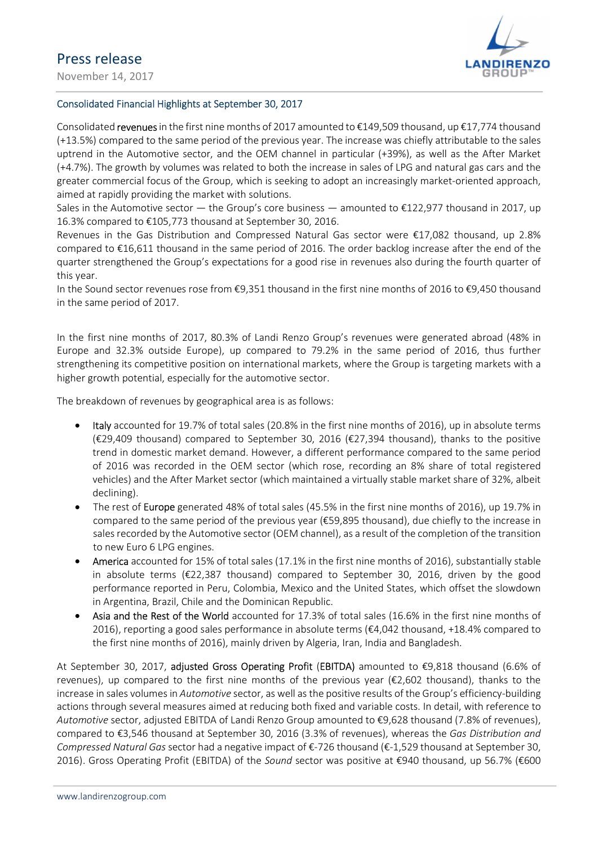November 14, 2017



### Consolidated Financial Highlights at September 30, 2017

Consolidated revenues in the first nine months of 2017 amounted to €149,509 thousand, up €17,774 thousand (+13.5%) compared to the same period of the previous year. The increase was chiefly attributable to the sales uptrend in the Automotive sector, and the OEM channel in particular (+39%), as well as the After Market (+4.7%). The growth by volumes was related to both the increase in sales of LPG and natural gas cars and the greater commercial focus of the Group, which is seeking to adopt an increasingly market-oriented approach, aimed at rapidly providing the market with solutions.

Sales in the Automotive sector — the Group's core business — amounted to  $\epsilon$ 122,977 thousand in 2017, up 16.3% compared to €105,773 thousand at September 30, 2016.

Revenues in the Gas Distribution and Compressed Natural Gas sector were €17,082 thousand, up 2.8% compared to €16,611 thousand in the same period of 2016. The order backlog increase after the end of the quarter strengthened the Group's expectations for a good rise in revenues also during the fourth quarter of this year.

In the Sound sector revenues rose from €9,351 thousand in the first nine months of 2016 to €9,450 thousand in the same period of 2017.

In the first nine months of 2017, 80.3% of Landi Renzo Group's revenues were generated abroad (48% in Europe and 32.3% outside Europe), up compared to 79.2% in the same period of 2016, thus further strengthening its competitive position on international markets, where the Group is targeting markets with a higher growth potential, especially for the automotive sector.

The breakdown of revenues by geographical area is as follows:

- Italy accounted for 19.7% of total sales (20.8% in the first nine months of 2016), up in absolute terms (€29,409 thousand) compared to September 30, 2016 (€27,394 thousand), thanks to the positive trend in domestic market demand. However, a different performance compared to the same period of 2016 was recorded in the OEM sector (which rose, recording an 8% share of total registered vehicles) and the After Market sector (which maintained a virtually stable market share of 32%, albeit declining).
- The rest of Europe generated 48% of total sales (45.5% in the first nine months of 2016), up 19.7% in compared to the same period of the previous year (€59,895 thousand), due chiefly to the increase in sales recorded by the Automotive sector (OEM channel), as a result of the completion of the transition to new Euro 6 LPG engines.
- America accounted for 15% of total sales (17.1% in the first nine months of 2016), substantially stable in absolute terms (€22,387 thousand) compared to September 30, 2016, driven by the good performance reported in Peru, Colombia, Mexico and the United States, which offset the slowdown in Argentina, Brazil, Chile and the Dominican Republic.
- Asia and the Rest of the World accounted for 17.3% of total sales (16.6% in the first nine months of 2016), reporting a good sales performance in absolute terms ( $\epsilon$ 4,042 thousand, +18.4% compared to the first nine months of 2016), mainly driven by Algeria, Iran, India and Bangladesh.

At September 30, 2017, adjusted Gross Operating Profit (EBITDA) amounted to €9,818 thousand (6.6% of revenues), up compared to the first nine months of the previous year (€2,602 thousand), thanks to the increase in sales volumes in Automotive sector, as well as the positive results of the Group's efficiency-building actions through several measures aimed at reducing both fixed and variable costs. In detail, with reference to Automotive sector, adjusted EBITDA of Landi Renzo Group amounted to €9,628 thousand (7.8% of revenues), compared to €3,546 thousand at September 30, 2016 (3.3% of revenues), whereas the Gas Distribution and Compressed Natural Gas sector had a negative impact of  $\epsilon$ -726 thousand ( $\epsilon$ -1,529 thousand at September 30, 2016). Gross Operating Profit (EBITDA) of the Sound sector was positive at €940 thousand, up 56.7% (€600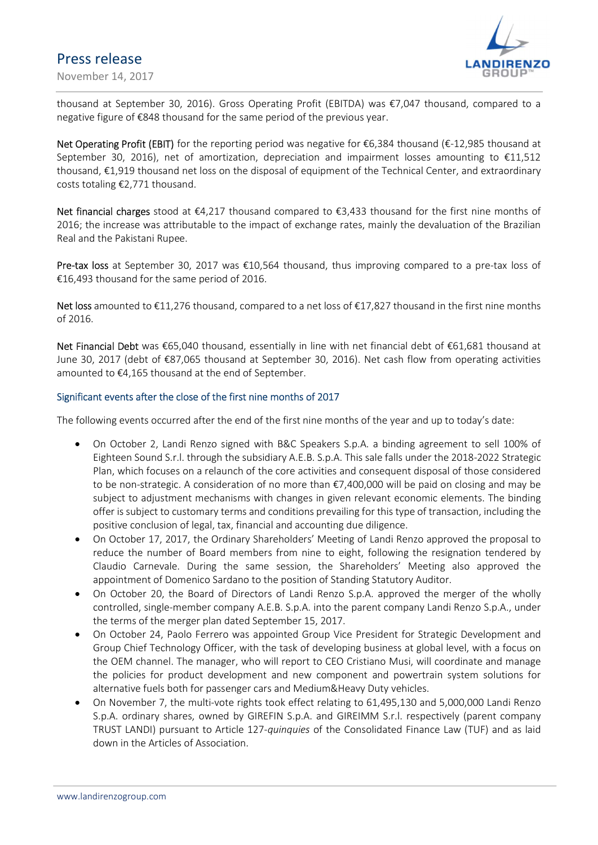November 14, 2017



thousand at September 30, 2016). Gross Operating Profit (EBITDA) was €7,047 thousand, compared to a negative figure of €848 thousand for the same period of the previous year.

Net Operating Profit (EBIT) for the reporting period was negative for €6,384 thousand (€-12,985 thousand at September 30, 2016), net of amortization, depreciation and impairment losses amounting to €11,512 thousand, €1,919 thousand net loss on the disposal of equipment of the Technical Center, and extraordinary costs totaling €2,771 thousand.

Net financial charges stood at €4,217 thousand compared to €3,433 thousand for the first nine months of 2016; the increase was attributable to the impact of exchange rates, mainly the devaluation of the Brazilian Real and the Pakistani Rupee.

Pre-tax loss at September 30, 2017 was €10,564 thousand, thus improving compared to a pre-tax loss of €16,493 thousand for the same period of 2016.

Net loss amounted to €11,276 thousand, compared to a net loss of €17,827 thousand in the first nine months of 2016.

Net Financial Debt was €65,040 thousand, essentially in line with net financial debt of €61,681 thousand at June 30, 2017 (debt of €87,065 thousand at September 30, 2016). Net cash flow from operating activities amounted to €4,165 thousand at the end of September.

#### Significant events after the close of the first nine months of 2017

The following events occurred after the end of the first nine months of the year and up to today's date:

- On October 2, Landi Renzo signed with B&C Speakers S.p.A. a binding agreement to sell 100% of Eighteen Sound S.r.l. through the subsidiary A.E.B. S.p.A. This sale falls under the 2018-2022 Strategic Plan, which focuses on a relaunch of the core activities and consequent disposal of those considered to be non-strategic. A consideration of no more than €7,400,000 will be paid on closing and may be subject to adjustment mechanisms with changes in given relevant economic elements. The binding offer is subject to customary terms and conditions prevailing for this type of transaction, including the positive conclusion of legal, tax, financial and accounting due diligence.
- On October 17, 2017, the Ordinary Shareholders' Meeting of Landi Renzo approved the proposal to reduce the number of Board members from nine to eight, following the resignation tendered by Claudio Carnevale. During the same session, the Shareholders' Meeting also approved the appointment of Domenico Sardano to the position of Standing Statutory Auditor.
- On October 20, the Board of Directors of Landi Renzo S.p.A. approved the merger of the wholly controlled, single-member company A.E.B. S.p.A. into the parent company Landi Renzo S.p.A., under the terms of the merger plan dated September 15, 2017.
- On October 24, Paolo Ferrero was appointed Group Vice President for Strategic Development and Group Chief Technology Officer, with the task of developing business at global level, with a focus on the OEM channel. The manager, who will report to CEO Cristiano Musi, will coordinate and manage the policies for product development and new component and powertrain system solutions for alternative fuels both for passenger cars and Medium&Heavy Duty vehicles.
- On November 7, the multi-vote rights took effect relating to 61,495,130 and 5,000,000 Landi Renzo S.p.A. ordinary shares, owned by GIREFIN S.p.A. and GIREIMM S.r.l. respectively (parent company TRUST LANDI) pursuant to Article 127-quinquies of the Consolidated Finance Law (TUF) and as laid down in the Articles of Association.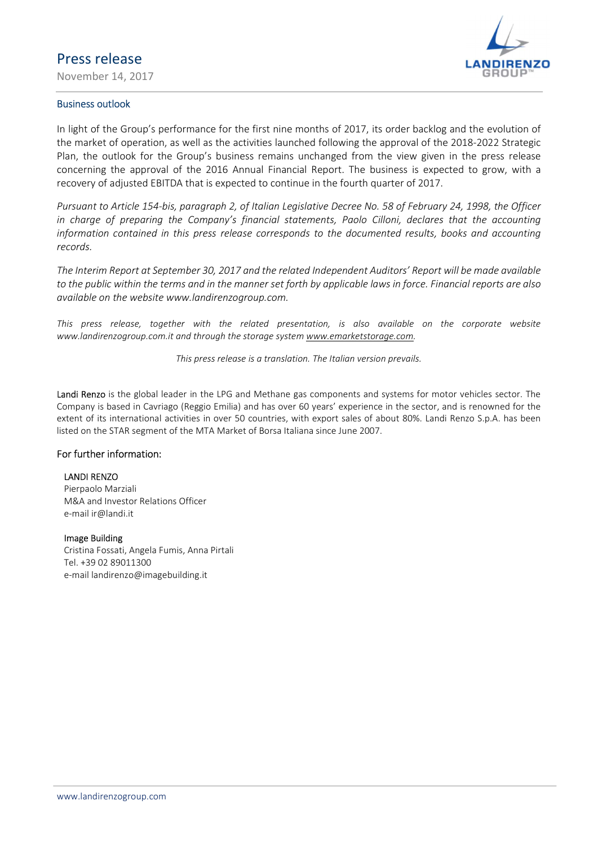November 14, 2017



#### Business outlook

In light of the Group's performance for the first nine months of 2017, its order backlog and the evolution of the market of operation, as well as the activities launched following the approval of the 2018-2022 Strategic Plan, the outlook for the Group's business remains unchanged from the view given in the press release concerning the approval of the 2016 Annual Financial Report. The business is expected to grow, with a recovery of adjusted EBITDA that is expected to continue in the fourth quarter of 2017.

Pursuant to Article 154-bis, paragraph 2, of Italian Legislative Decree No. 58 of February 24, 1998, the Officer in charge of preparing the Company's financial statements, Paolo Cilloni, declares that the accounting information contained in this press release corresponds to the documented results, books and accounting records.

The Interim Report at September 30, 2017 and the related Independent Auditors' Report will be made available to the public within the terms and in the manner set forth by applicable laws in force. Financial reports are also available on the website www.landirenzogroup.com.

This press release, together with the related presentation, is also available on the corporate website www.landirenzogroup.com.it and through the storage system www.emarketstorage.com.

This press release is a translation. The Italian version prevails.

Landi Renzo is the global leader in the LPG and Methane gas components and systems for motor vehicles sector. The Company is based in Cavriago (Reggio Emilia) and has over 60 years' experience in the sector, and is renowned for the extent of its international activities in over 50 countries, with export sales of about 80%. Landi Renzo S.p.A. has been listed on the STAR segment of the MTA Market of Borsa Italiana since June 2007.

#### For further information:

#### LANDI RENZO

Pierpaolo Marziali M&A and Investor Relations Officer e-mail ir@landi.it

#### Image Building

Cristina Fossati, Angela Fumis, Anna Pirtali Tel. +39 02 89011300 e-mail landirenzo@imagebuilding.it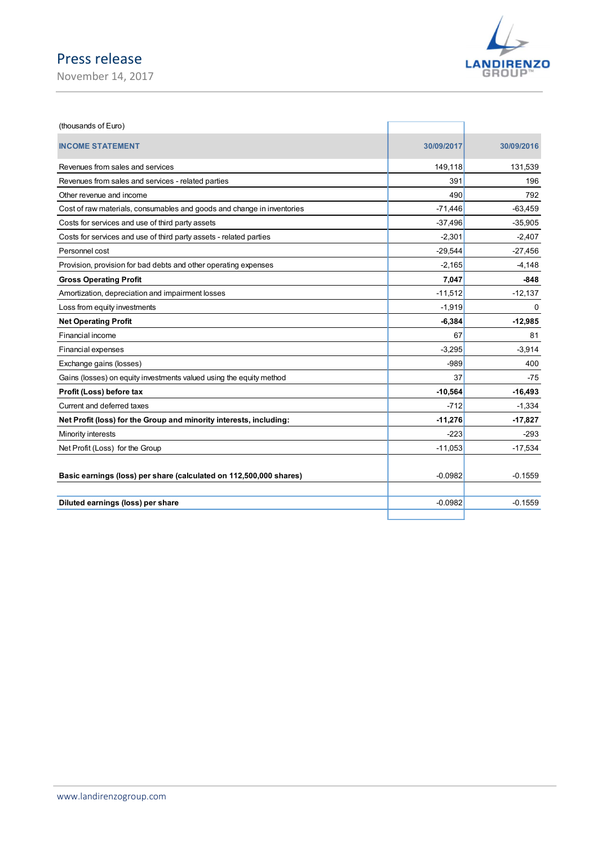

| Press release                                                          |            |                             |
|------------------------------------------------------------------------|------------|-----------------------------|
| November 14, 2017                                                      |            | <b>LANDIRENZO</b><br>GROUP" |
|                                                                        |            |                             |
|                                                                        |            |                             |
| (thousands of Euro)                                                    |            |                             |
| <b>INCOME STATEMENT</b>                                                | 30/09/2017 | 30/09/2016                  |
| Revenues from sales and services                                       | 149,118    | 131,539                     |
| Revenues from sales and services - related parties                     | 391        | 196                         |
| Other revenue and income                                               | 490        | 792                         |
| Cost of raw materials, consumables and goods and change in inventories | $-71,446$  | $-63,459$                   |
| Costs for services and use of third party assets                       | $-37,496$  | $-35,905$                   |
| Costs for services and use of third party assets - related parties     | $-2,301$   | $-2,407$                    |
| Personnel cost                                                         | $-29,544$  | $-27,456$                   |
| Provision, provision for bad debts and other operating expenses        | $-2,165$   | $-4,148$                    |
| <b>Gross Operating Profit</b>                                          | 7,047      | $-848$                      |
| Amortization, depreciation and impairment losses                       | $-11,512$  | $-12,137$                   |
| Loss from equity investments                                           | $-1,919$   | 0                           |
| <b>Net Operating Profit</b>                                            | $-6,384$   | $-12,985$                   |
| Financial income                                                       | 67         | 81                          |
| Financial expenses                                                     | $-3,295$   | $-3,914$                    |
| Exchange gains (losses)                                                | $-989$     | 400                         |
| Gains (losses) on equity investments valued using the equity method    | 37         | $-75$                       |
| Profit (Loss) before tax                                               | $-10,564$  | $-16,493$                   |
| Current and deferred taxes                                             | $-712$     | $-1,334$                    |
| Net Profit (loss) for the Group and minority interests, including:     | $-11,276$  | $-17,827$                   |
| Minority interests                                                     | $-223$     | $-293$                      |
| Net Profit (Loss) for the Group                                        | $-11,053$  | $-17,534$                   |
| Basic earnings (loss) per share (calculated on 112,500,000 shares)     | $-0.0982$  | $-0.1559$                   |
|                                                                        |            |                             |
| Diluted earnings (loss) per share                                      | $-0.0982$  | $-0.1559$                   |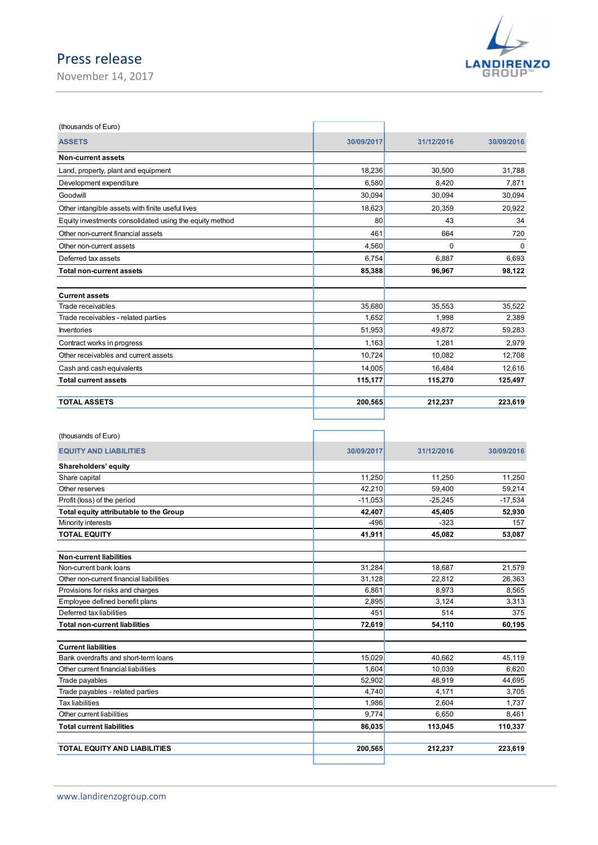November 14, 2017



| (thousands of Euro)                                     |            |            |            |
|---------------------------------------------------------|------------|------------|------------|
| <b>ASSETS</b>                                           | 30/09/2017 | 31/12/2016 | 30/09/2016 |
| Non-current assets                                      |            |            |            |
| Land, property, plant and equipment                     | 18,236     | 30.500     | 31,788     |
| Development expenditure                                 | 6,580      | 8,420      | 7,871      |
| Goodwill                                                | 30.094     | 30,094     | 30,094     |
| Other intangible assets with finite useful lives        | 18,623     | 20,359     | 20,922     |
| Equity investments consolidated using the equity method | 80         | 43         | 34         |
| Other non-current financial assets                      | 461        | 664        | 720        |
| Other non-current assets                                | 4,560      | 0          | $\Omega$   |
| Deferred tax assets                                     | 6.754      | 6.887      | 6,693      |
| <b>Total non-current assets</b>                         | 85,388     | 96,967     | 98,122     |
| <b>Current assets</b>                                   |            |            |            |
| Trade receivables                                       | 35,680     | 35,553     | 35,522     |
| Trade receivables - related parties                     | 1,652      | 1,998      | 2,389      |
| <b>Inventories</b>                                      | 51,953     | 49,872     | 59,283     |
| Contract works in progress                              | 1,163      | 1,281      | 2,979      |
| Other receivables and current assets                    | 10.724     | 10,082     | 12,708     |
| Cash and cash equivalents                               | 14,005     | 16,484     | 12,616     |
| <b>Total current assets</b>                             | 115,177    | 115,270    | 125,497    |
| <b>TOTAL ASSETS</b>                                     | 200,565    | 212,237    | 223,619    |
|                                                         |            |            |            |

r

| (thousands of Euro)                     |            |            |            |
|-----------------------------------------|------------|------------|------------|
| <b>EQUITY AND LIABILITIES</b>           | 30/09/2017 | 31/12/2016 | 30/09/2016 |
| Shareholders' equity                    |            |            |            |
| Share capital                           | 11,250     | 11,250     | 11,250     |
| Other reserves                          | 42.210     | 59,400     | 59,214     |
| Profit (loss) of the period             | $-11,053$  | $-25,245$  | $-17,534$  |
| Total equity attributable to the Group  | 42,407     | 45,405     | 52,930     |
| Minority interests                      | $-496$     | $-323$     | 157        |
| <b>TOTAL EQUITY</b>                     | 41,911     | 45,082     | 53,087     |
| <b>Non-current liabilities</b>          |            |            |            |
| Non-current bank loans                  | 31,284     | 18.687     | 21,579     |
| Other non-current financial liabilities | 31,128     | 22,812     | 26,363     |
| Provisions for risks and charges        | 6.861      | 8,973      | 8,565      |
| Employee defined benefit plans          | 2,895      | 3,124      | 3,313      |
| Deferred tax liabilities                | 451        | 514        | 375        |
| <b>Total non-current liabilities</b>    | 72,619     | 54,110     | 60,195     |
| <b>Current liabilities</b>              |            |            |            |
| Bank overdrafts and short-term loans    | 15,029     | 40.662     | 45,119     |
| Other current financial liabilities     | 1,604      | 10,039     | 6,620      |
| Trade payables                          | 52,902     | 48,919     | 44,695     |
| Trade payables - related parties        | 4,740      | 4,171      | 3,705      |
| <b>Tax liabilities</b>                  | 1,986      | 2,604      | 1.737      |
| Other current liabilities               | 9,774      | 6,650      | 8,461      |
| <b>Total current liabilities</b>        | 86,035     | 113,045    | 110,337    |
| TOTAL EQUITY AND LIABILITIES            | 200,565    | 212,237    | 223,619    |
|                                         |            |            |            |